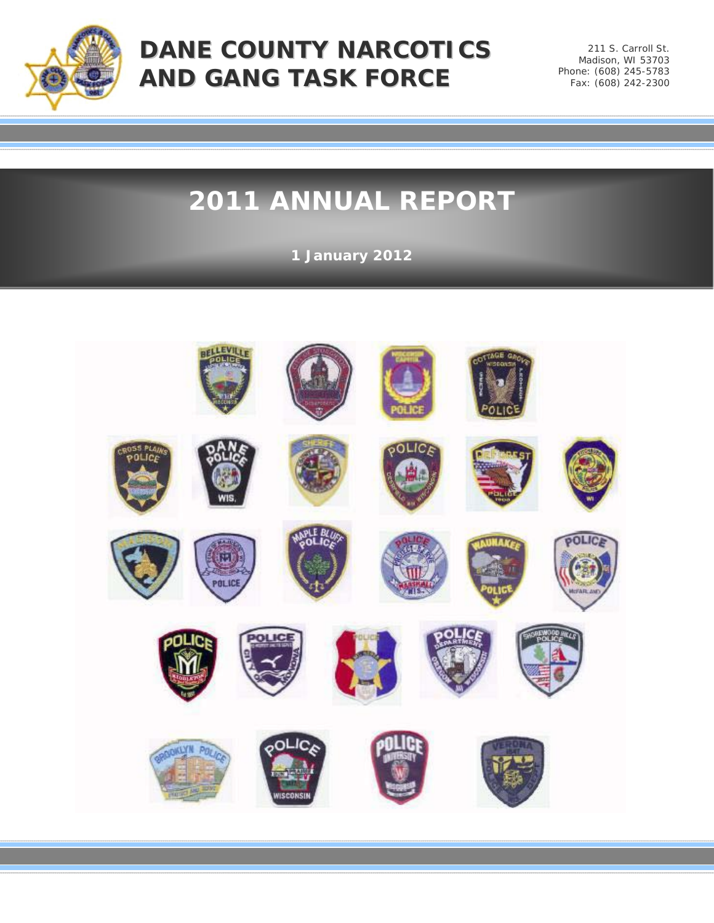

## **DANE COUNTY NARCOTICS AND GANG TASK FORCE**

211 S. Carroll St. Madison, WI 53703 Phone: (608) 245-5783 Fax: (608) 242-2300

# **2011 ANNUAL REPORT**

**1 January 2012**

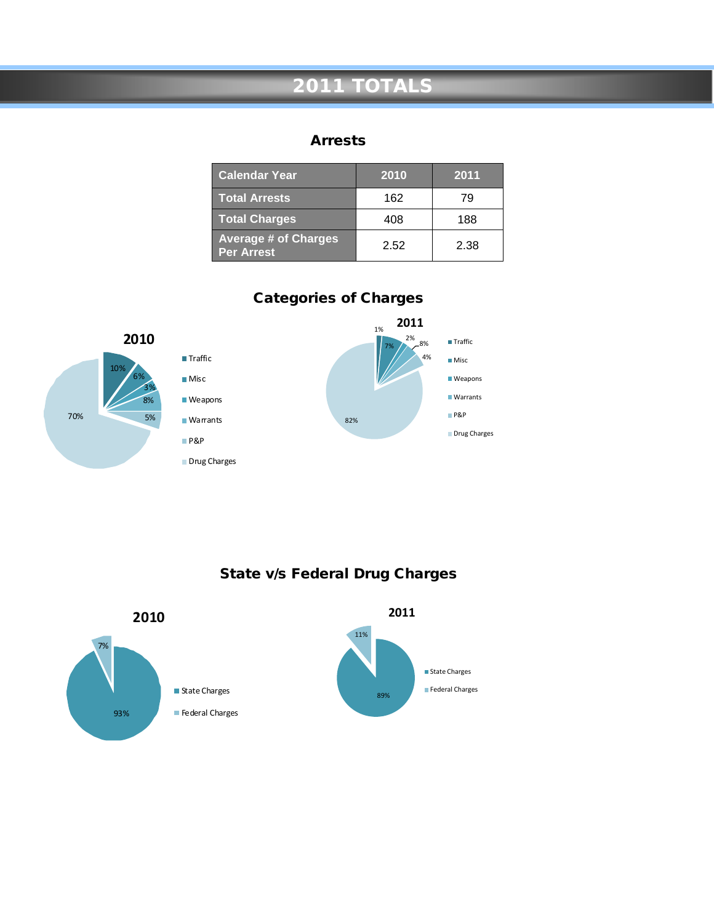## **2011 TOTALS**

#### Arrests

| <b>Calendar Year</b>                             | 2010 | 2011 |
|--------------------------------------------------|------|------|
| <b>Total Arrests</b>                             | 162  | 79   |
| <b>Total Charges</b>                             | 408  | 188  |
| <b>Average # of Charges</b><br><b>Per Arrest</b> | 2.52 | 2.38 |



Categories of Charges

State v/s Federal Drug Charges

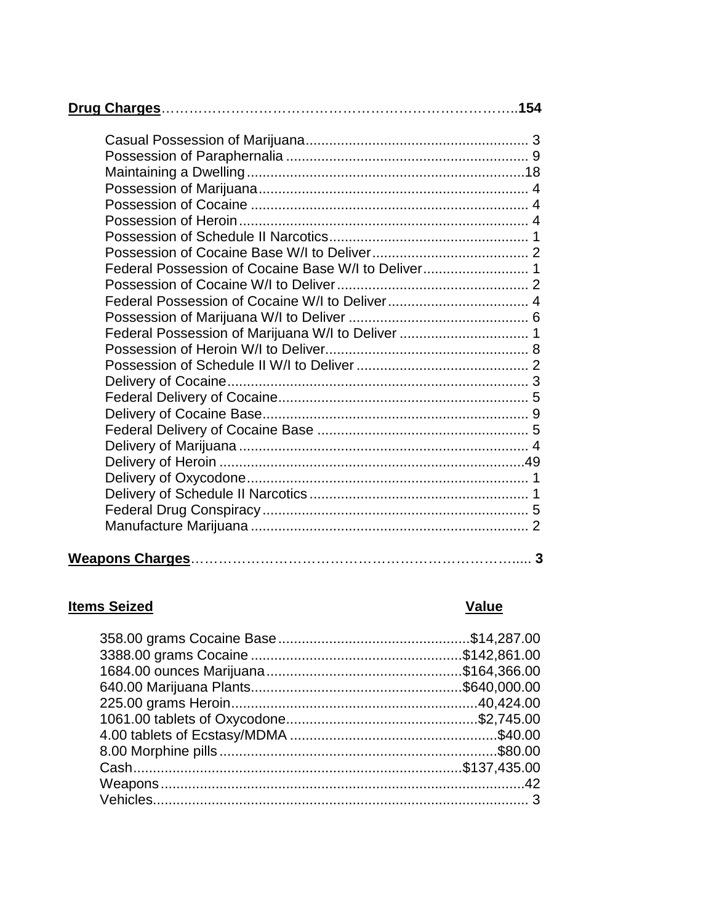| Federal Possession of Marijuana W/I to Deliver  1 |
|---------------------------------------------------|
|                                                   |
|                                                   |
|                                                   |
|                                                   |
|                                                   |
|                                                   |
|                                                   |
|                                                   |
|                                                   |
|                                                   |
|                                                   |
|                                                   |
|                                                   |

### **Items Seized**

## Value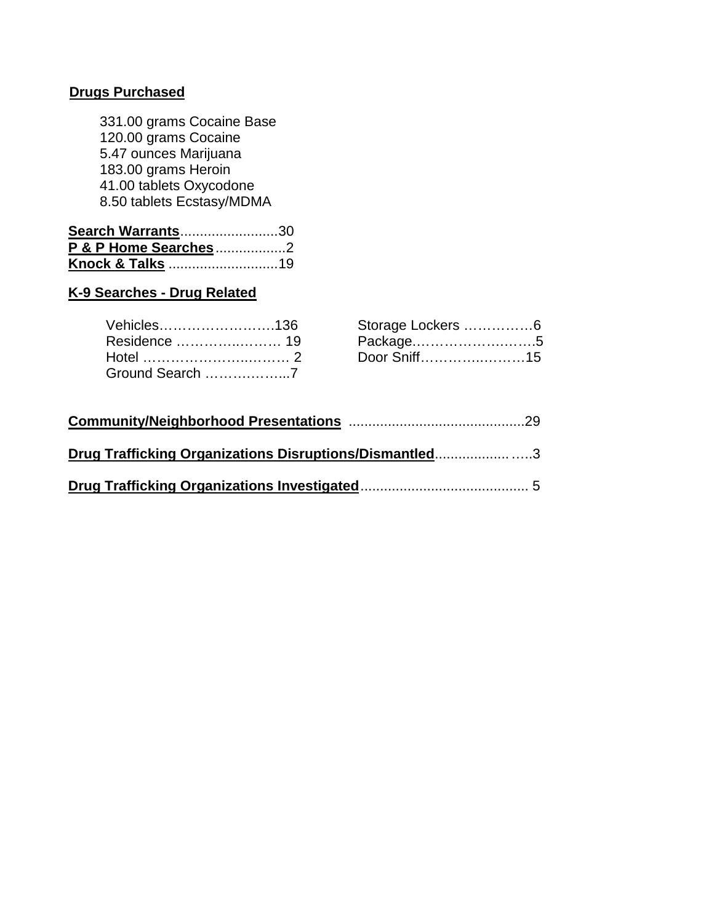#### **Drugs Purchased**

331.00 grams Cocaine Base 120.00 grams Cocaine 5.47 ounces Marijuana 183.00 grams Heroin 41.00 tablets Oxycodone 8.50 tablets Ecstasy/MDMA

| <b>Search Warrants30</b> |  |
|--------------------------|--|
| P & P Home Searches2     |  |
|                          |  |

#### **K-9 Searches - Drug Related**

| Vehicles……………………136 | Storage Lockers 6 |  |
|---------------------|-------------------|--|
| Residence  19       |                   |  |
| Hotel …………………………… 2 | Door Sniff15      |  |
| Ground Search 7     |                   |  |

| Storage Lockers 6    |  |
|----------------------|--|
| Package5             |  |
| Door Sniff……………………15 |  |

| Drug Trafficking Organizations Disruptions/Dismantled3 |  |
|--------------------------------------------------------|--|
|                                                        |  |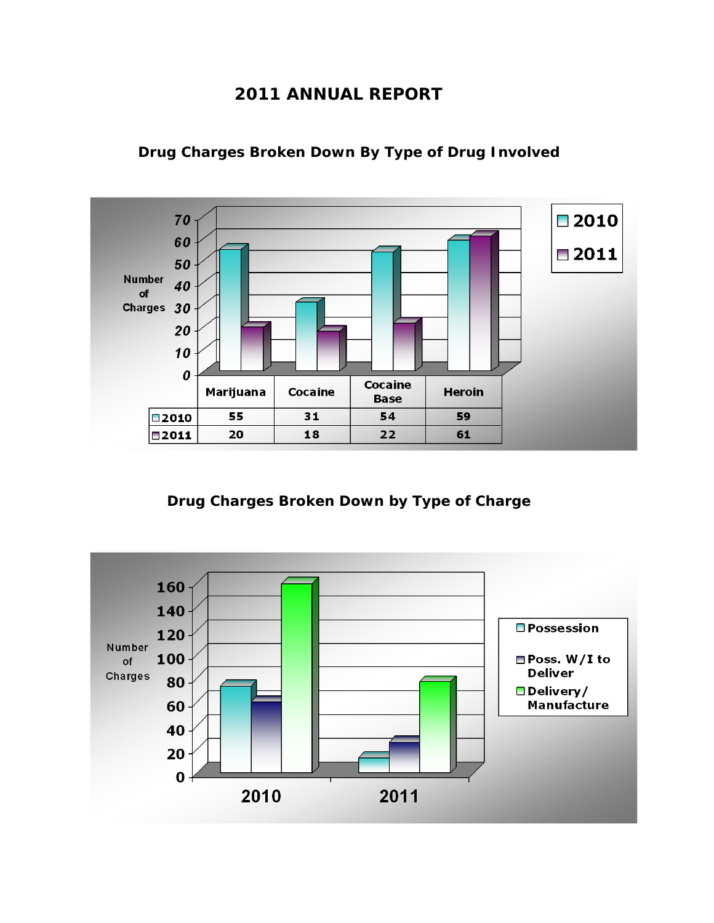#### **2011 ANNUAL REPORT**



**Drug Charges Broken Down By Type of Drug Involved**

**Drug Charges Broken Down by Type of Charge**

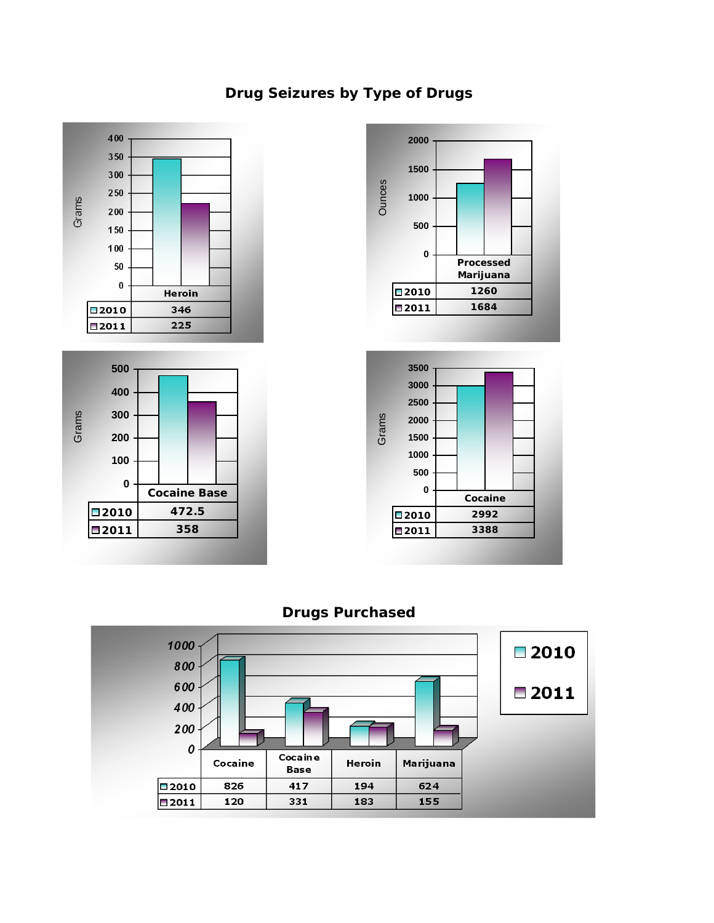### **Drug Seizures by Type of Drugs**